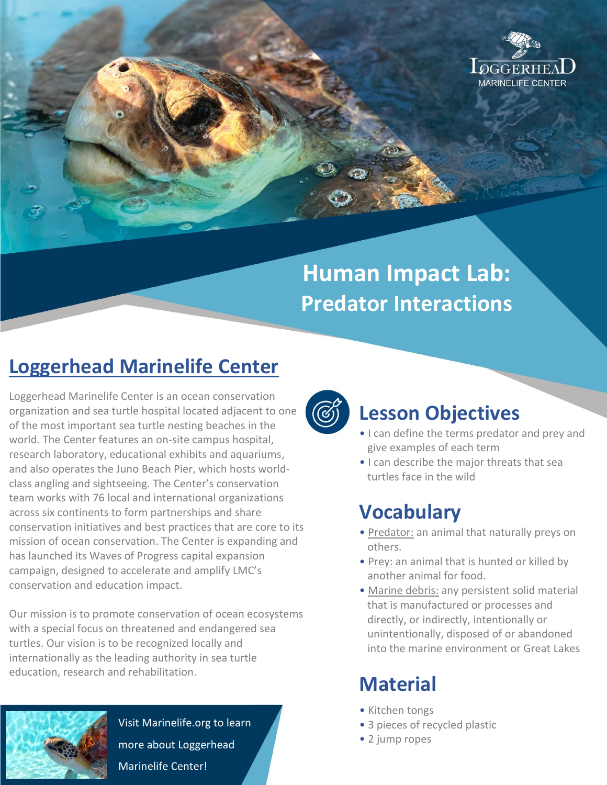

# **Human Impact Lab: Predator Interactions**

# **Loggerhead Marinelife Center**

Loggerhead Marinelife Center is an ocean conservation organization and sea turtle hospital located adjacent to one of the most important sea turtle nesting beaches in the world. The Center features an on-site campus hospital, research laboratory, educational exhibits and aquariums, and also operates the Juno Beach Pier, which hosts worldclass angling and sightseeing. The Center's conservation team works with 76 local and international organizations across six continents to form partnerships and share conservation initiatives and best practices that are core to its mission of ocean conservation. The Center is expanding and has launched its Waves of Progress capital expansion campaign, designed to accelerate and amplify LMC's conservation and education impact.

Our mission is to promote conservation of ocean ecosystems with a special focus on threatened and endangered sea turtles. Our vision is to be recognized locally and internationally as the leading authority in sea turtle education, research and rehabilitation.



Visit Marinelife.org to learn more about Loggerhead Marinelife Center!



#### **Lesson Objectives**

- I can define the terms predator and prey and give examples of each term
- I can describe the major threats that sea turtles face in the wild

# **Vocabulary**

- Predator: an animal that naturally preys on others.
- Prey: an animal that is hunted or killed by another animal for food.
- Marine debris: any persistent solid material that is manufactured or processes and directly, or indirectly, intentionally or unintentionally, disposed of or abandoned into the marine environment or Great Lakes

### **Material**

- Kitchen tongs
- 3 pieces of recycled plastic
- 2 jump ropes